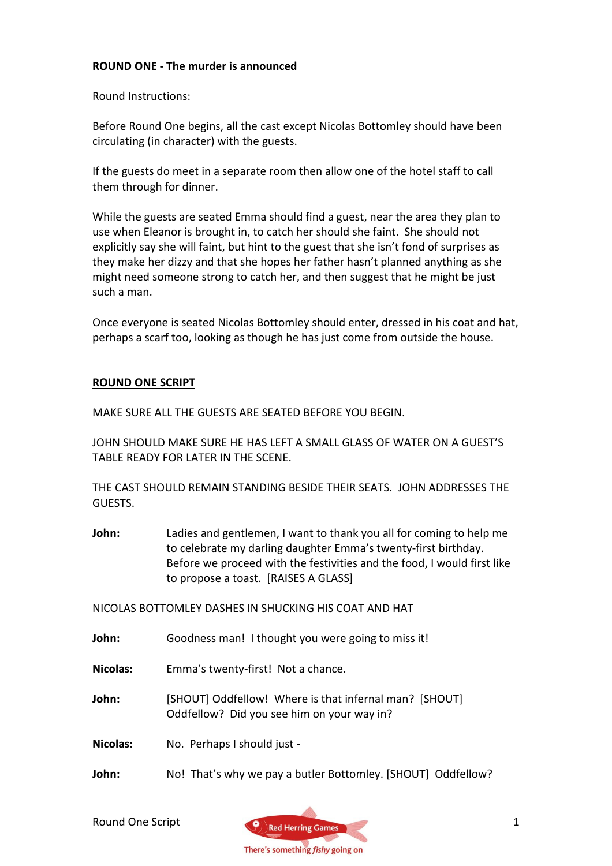## ROUND ONE - The murder is announced

Round Instructions:

Before Round One begins, all the cast except Nicolas Bottomley should have been circulating (in character) with the guests.

If the guests do meet in a separate room then allow one of the hotel staff to call them through for dinner.

While the guests are seated Emma should find a guest, near the area they plan to use when Eleanor is brought in, to catch her should she faint. She should not explicitly say she will faint, but hint to the guest that she isn't fond of surprises as they make her dizzy and that she hopes her father hasn't planned anything as she might need someone strong to catch her, and then suggest that he might be just such a man.

Once everyone is seated Nicolas Bottomley should enter, dressed in his coat and hat, perhaps a scarf too, looking as though he has just come from outside the house.

## ROUND ONE SCRIPT

MAKE SURE ALL THE GUESTS ARE SEATED BEFORE YOU BEGIN.

JOHN SHOULD MAKE SURE HE HAS LEFT A SMALL GLASS OF WATER ON A GUEST'S TABLE READY FOR LATER IN THE SCENE.

THE CAST SHOULD REMAIN STANDING BESIDE THEIR SEATS. JOHN ADDRESSES THE GUESTS.

John: Ladies and gentlemen, I want to thank you all for coming to help me to celebrate my darling daughter Emma's twenty-first birthday. Before we proceed with the festivities and the food, I would first like to propose a toast. [RAISES A GLASS]

NICOLAS BOTTOMLEY DASHES IN SHUCKING HIS COAT AND HAT

John: Goodness man! I thought you were going to miss it!

Nicolas: Emma's twenty-first! Not a chance.

John: [SHOUT] Oddfellow! Where is that infernal man? [SHOUT] Oddfellow? Did you see him on your way in?

Nicolas: No. Perhaps I should just -

John: No! That's why we pay a butler Bottomley. [SHOUT] Oddfellow?

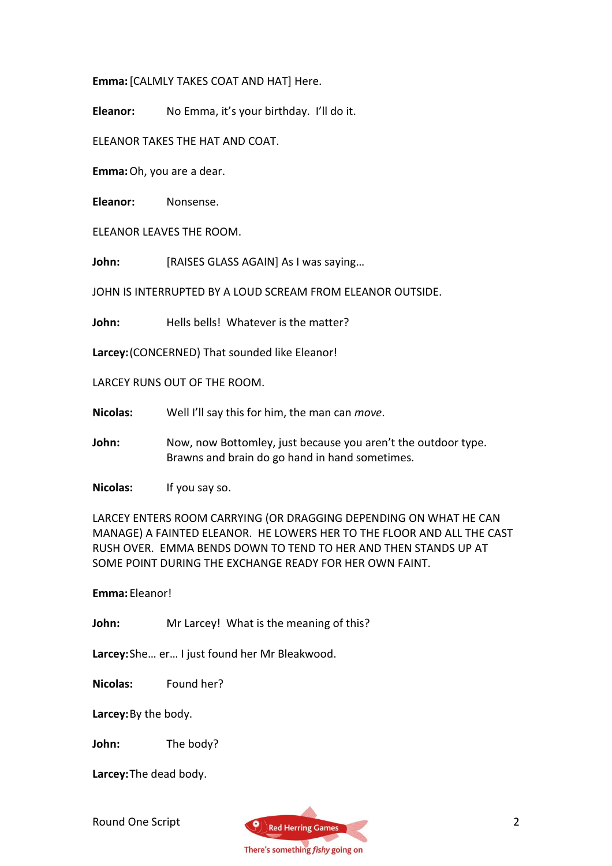Emma: [CALMLY TAKES COAT AND HAT] Here.

Eleanor: No Emma, it's your birthday. I'll do it.

ELEANOR TAKES THE HAT AND COAT.

Emma: Oh, you are a dear.

Eleanor: Nonsense.

ELEANOR LEAVES THE ROOM.

John: [RAISES GLASS AGAIN] As I was saying...

JOHN IS INTERRUPTED BY A LOUD SCREAM FROM ELEANOR OUTSIDE.

John: Hells bells! Whatever is the matter?

Larcey: (CONCERNED) That sounded like Eleanor!

LARCEY RUNS OUT OF THE ROOM.

Nicolas: Well I'll say this for him, the man can move.

John: Now, now Bottomley, just because you aren't the outdoor type. Brawns and brain do go hand in hand sometimes.

Nicolas: If you say so.

LARCEY ENTERS ROOM CARRYING (OR DRAGGING DEPENDING ON WHAT HE CAN MANAGE) A FAINTED ELEANOR. HE LOWERS HER TO THE FLOOR AND ALL THE CAST RUSH OVER. EMMA BENDS DOWN TO TEND TO HER AND THEN STANDS UP AT SOME POINT DURING THE EXCHANGE READY FOR HER OWN FAINT.

Emma: Eleanor!

John: Mr Larcey! What is the meaning of this?

Larcey: She… er… I just found her Mr Bleakwood.

Nicolas: Found her?

Larcey: By the body.

John: The body?

Larcey: The dead body.

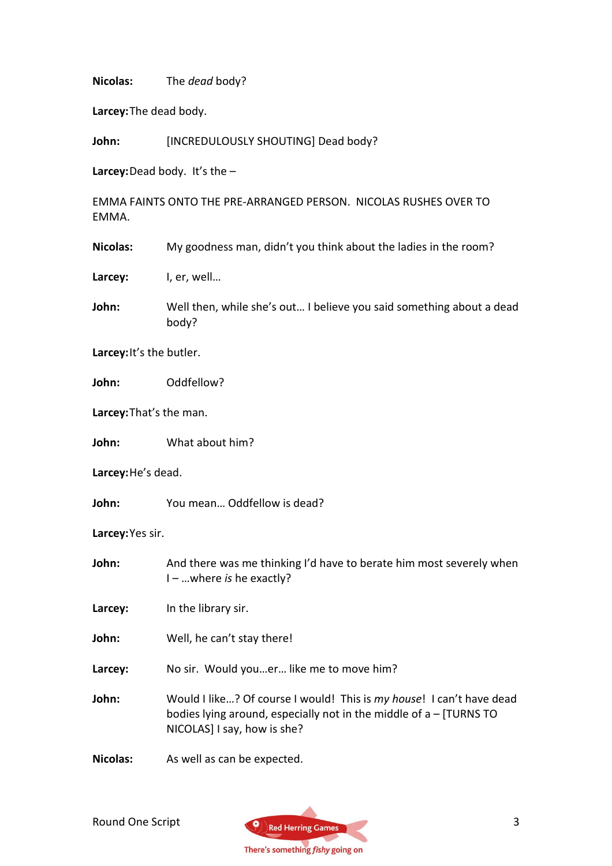Nicolas: The *dead* body?

Larcey: The dead body.

John: [INCREDULOUSLY SHOUTING] Dead body?

Larcey: Dead body. It's the  $-$ 

EMMA FAINTS ONTO THE PRE-ARRANGED PERSON. NICOLAS RUSHES OVER TO EMMA.

Nicolas: My goodness man, didn't you think about the ladies in the room?

Larcey: I, er, well...

John: Well then, while she's out... I believe you said something about a dead body?

Larcey: It's the butler.

John: Oddfellow?

Larcey: That's the man.

John: What about him?

Larcey: He's dead.

John: You mean… Oddfellow is dead?

Larcey: Yes sir.

John: And there was me thinking I'd have to berate him most severely when I – …where is he exactly?

Larcey: In the library sir.

John: Well, he can't stay there!

Larcey: No sir. Would you...er... like me to move him?

John: Would I like...? Of course I would! This is my house! I can't have dead bodies lying around, especially not in the middle of a – [TURNS TO NICOLAS] I say, how is she?

Nicolas: As well as can be expected.

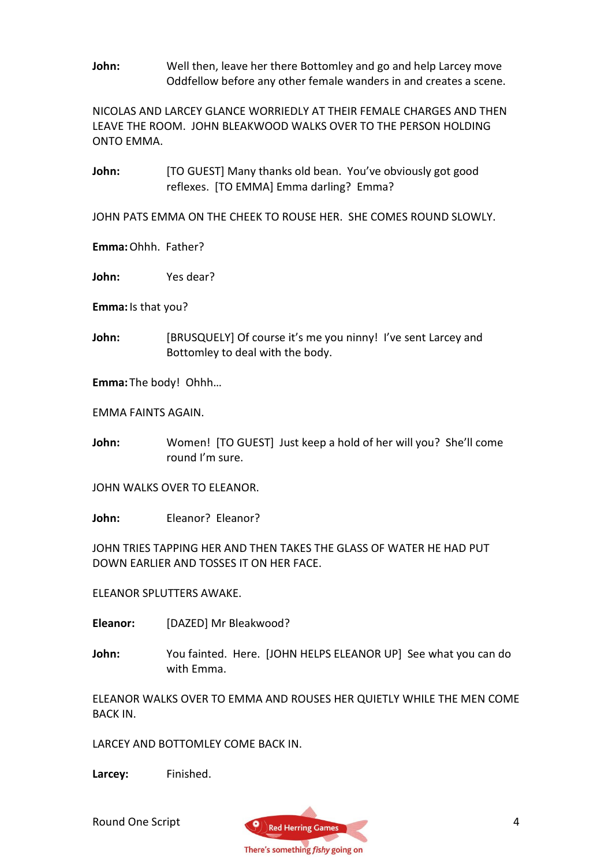John: Well then, leave her there Bottomley and go and help Larcey move Oddfellow before any other female wanders in and creates a scene.

NICOLAS AND LARCEY GLANCE WORRIEDLY AT THEIR FEMALE CHARGES AND THEN LEAVE THE ROOM. JOHN BLEAKWOOD WALKS OVER TO THE PERSON HOLDING ONTO EMMA.

John: [TO GUEST] Many thanks old bean. You've obviously got good reflexes. [TO EMMA] Emma darling? Emma?

JOHN PATS EMMA ON THE CHEEK TO ROUSE HER. SHE COMES ROUND SLOWLY.

Emma: Ohhh. Father?

John: Yes dear?

Emma: Is that you?

John: [BRUSQUELY] Of course it's me you ninny! I've sent Larcey and Bottomley to deal with the body.

Emma: The body! Ohhh…

EMMA FAINTS AGAIN.

John: Women! [TO GUEST] Just keep a hold of her will you? She'll come round I'm sure.

JOHN WALKS OVER TO ELEANOR.

John: Fleanor? Eleanor?

JOHN TRIES TAPPING HER AND THEN TAKES THE GLASS OF WATER HE HAD PUT DOWN EARLIER AND TOSSES IT ON HER FACE.

ELEANOR SPLUTTERS AWAKE.

Eleanor: [DAZED] Mr Bleakwood?

John: You fainted. Here. [JOHN HELPS ELEANOR UP] See what you can do with Emma.

ELEANOR WALKS OVER TO EMMA AND ROUSES HER QUIETLY WHILE THE MEN COME BACK IN.

LARCEY AND BOTTOMLEY COME BACK IN.

Larcey: Finished.

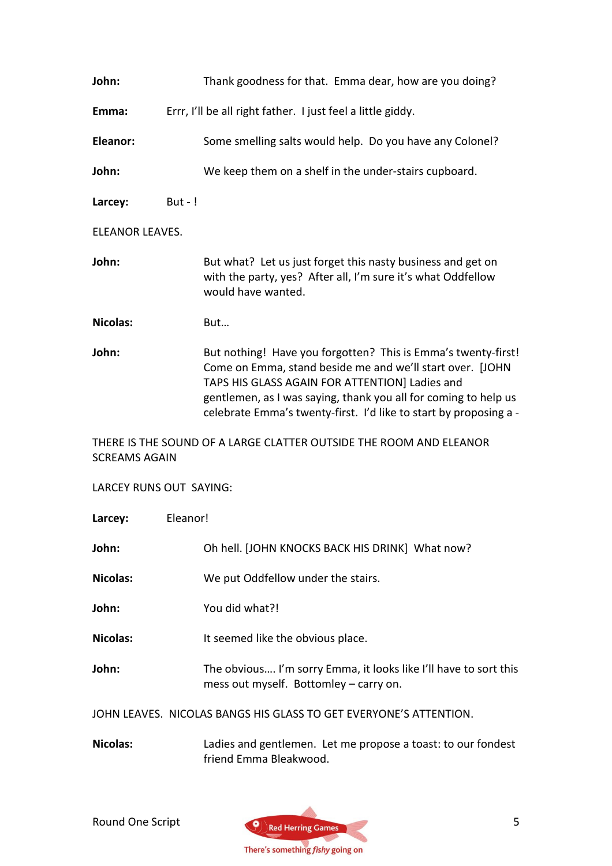| John:                                                                                      | Thank goodness for that. Emma dear, how are you doing?                                                                                                                                                                                                                                                               |
|--------------------------------------------------------------------------------------------|----------------------------------------------------------------------------------------------------------------------------------------------------------------------------------------------------------------------------------------------------------------------------------------------------------------------|
| Emma:                                                                                      | Errr, I'll be all right father. I just feel a little giddy.                                                                                                                                                                                                                                                          |
| Eleanor:                                                                                   | Some smelling salts would help. Do you have any Colonel?                                                                                                                                                                                                                                                             |
| John:                                                                                      | We keep them on a shelf in the under-stairs cupboard.                                                                                                                                                                                                                                                                |
| Larcey:                                                                                    | But - $!$                                                                                                                                                                                                                                                                                                            |
| <b>ELEANOR LEAVES.</b>                                                                     |                                                                                                                                                                                                                                                                                                                      |
| John:                                                                                      | But what? Let us just forget this nasty business and get on<br>with the party, yes? After all, I'm sure it's what Oddfellow<br>would have wanted.                                                                                                                                                                    |
| <b>Nicolas:</b>                                                                            | But                                                                                                                                                                                                                                                                                                                  |
| John:                                                                                      | But nothing! Have you forgotten? This is Emma's twenty-first!<br>Come on Emma, stand beside me and we'll start over. [JOHN<br>TAPS HIS GLASS AGAIN FOR ATTENTION] Ladies and<br>gentlemen, as I was saying, thank you all for coming to help us<br>celebrate Emma's twenty-first. I'd like to start by proposing a - |
| THERE IS THE SOUND OF A LARGE CLATTER OUTSIDE THE ROOM AND ELEANOR<br><b>SCREAMS AGAIN</b> |                                                                                                                                                                                                                                                                                                                      |
| LARCEY RUNS OUT SAYING:                                                                    |                                                                                                                                                                                                                                                                                                                      |
| Larcey:                                                                                    | Eleanor!                                                                                                                                                                                                                                                                                                             |
| John:                                                                                      | Oh hell. [JOHN KNOCKS BACK HIS DRINK] What now?                                                                                                                                                                                                                                                                      |
| <b>Nicolas:</b>                                                                            | We put Oddfellow under the stairs.                                                                                                                                                                                                                                                                                   |
| John:                                                                                      | You did what?!                                                                                                                                                                                                                                                                                                       |
| <b>Nicolas:</b>                                                                            | It seemed like the obvious place.                                                                                                                                                                                                                                                                                    |
| John:                                                                                      | The obvious I'm sorry Emma, it looks like I'll have to sort this<br>mess out myself. Bottomley - carry on.                                                                                                                                                                                                           |
| JOHN LEAVES. NICOLAS BANGS HIS GLASS TO GET EVERYONE'S ATTENTION.                          |                                                                                                                                                                                                                                                                                                                      |
| <b>Nicolas:</b>                                                                            | Ladies and gentlemen. Let me propose a toast: to our fondest<br>friend Emma Bleakwood.                                                                                                                                                                                                                               |